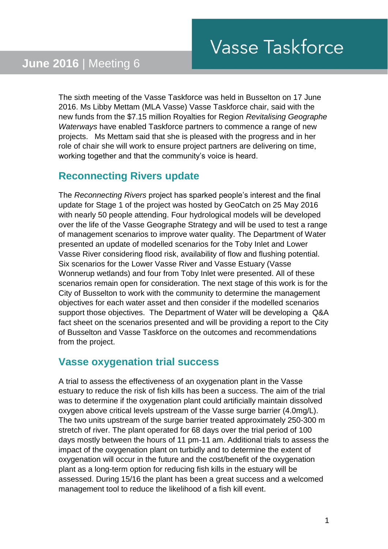The sixth meeting of the Vasse Taskforce was held in Busselton on 17 June 2016. Ms Libby Mettam (MLA Vasse) Vasse Taskforce chair, said with the new funds from the \$7.15 million Royalties for Region *Revitalising Geographe Waterways* have enabled Taskforce partners to commence a range of new projects. Ms Mettam said that she is pleased with the progress and in her role of chair she will work to ensure project partners are delivering on time, working together and that the community's voice is heard.

#### **Reconnecting Rivers update**

The *Reconnecting Rivers* project has sparked people's interest and the final update for Stage 1 of the project was hosted by GeoCatch on 25 May 2016 with nearly 50 people attending. Four hydrological models will be developed over the life of the Vasse Geographe Strategy and will be used to test a range of management scenarios to improve water quality. The Department of Water presented an update of modelled scenarios for the Toby Inlet and Lower Vasse River considering flood risk, availability of flow and flushing potential. Six scenarios for the Lower Vasse River and Vasse Estuary (Vasse Wonnerup wetlands) and four from Toby Inlet were presented. All of these scenarios remain open for consideration. The next stage of this work is for the City of Busselton to work with the community to determine the management objectives for each water asset and then consider if the modelled scenarios support those objectives. The Department of Water will be developing a Q&A fact sheet on the scenarios presented and will be providing a report to the City of Busselton and Vasse Taskforce on the outcomes and recommendations from the project.

# **Vasse oxygenation trial success**

A trial to assess the effectiveness of an oxygenation plant in the Vasse estuary to reduce the risk of fish kills has been a success. The aim of the trial was to determine if the oxygenation plant could artificially maintain dissolved oxygen above critical levels upstream of the Vasse surge barrier (4.0mg/L). The two units upstream of the surge barrier treated approximately 250-300 m stretch of river. The plant operated for 68 days over the trial period of 100 days mostly between the hours of 11 pm-11 am. Additional trials to assess the impact of the oxygenation plant on turbidly and to determine the extent of oxygenation will occur in the future and the cost/benefit of the oxygenation plant as a long-term option for reducing fish kills in the estuary will be assessed. During 15/16 the plant has been a great success and a welcomed management tool to reduce the likelihood of a fish kill event.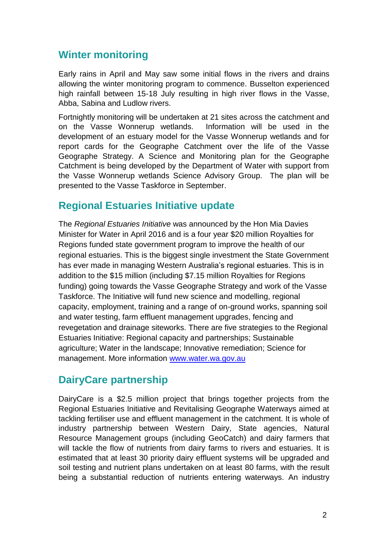## **Winter monitoring**

Early rains in April and May saw some initial flows in the rivers and drains allowing the winter monitoring program to commence. Busselton experienced high rainfall between 15-18 July resulting in high river flows in the Vasse, Abba, Sabina and Ludlow rivers.

Fortnightly monitoring will be undertaken at 21 sites across the catchment and on the Vasse Wonnerup wetlands. Information will be used in the development of an estuary model for the Vasse Wonnerup wetlands and for report cards for the Geographe Catchment over the life of the Vasse Geographe Strategy. A Science and Monitoring plan for the Geographe Catchment is being developed by the Department of Water with support from the Vasse Wonnerup wetlands Science Advisory Group. The plan will be presented to the Vasse Taskforce in September.

## **Regional Estuaries Initiative update**

The *Regional Estuaries Initiative* was announced by the Hon Mia Davies Minister for Water in April 2016 and is a four year \$20 million Royalties for Regions funded state government program to improve the health of our regional estuaries. This is the biggest single investment the State Government has ever made in managing Western Australia's regional estuaries. This is in addition to the \$15 million (including \$7.15 million Royalties for Regions funding) going towards the Vasse Geographe Strategy and work of the Vasse Taskforce. The Initiative will fund new science and modelling, regional capacity, employment, training and a range of on-ground works, spanning soil and water testing, farm effluent management upgrades, fencing and revegetation and drainage siteworks. There are five strategies to the Regional Estuaries Initiative: Regional capacity and partnerships; Sustainable agriculture; Water in the landscape; Innovative remediation; Science for management. More information [www.water.wa.gov.au](http://www.water.wa.gov.au/)

# **DairyCare partnership**

DairyCare is a \$2.5 million project that brings together projects from the Regional Estuaries Initiative and Revitalising Geographe Waterways aimed at tackling fertiliser use and effluent management in the catchment. It is whole of industry partnership between Western Dairy, State agencies, Natural Resource Management groups (including GeoCatch) and dairy farmers that will tackle the flow of nutrients from dairy farms to rivers and estuaries. It is estimated that at least 30 priority dairy effluent systems will be upgraded and soil testing and nutrient plans undertaken on at least 80 farms, with the result being a substantial reduction of nutrients entering waterways. An industry